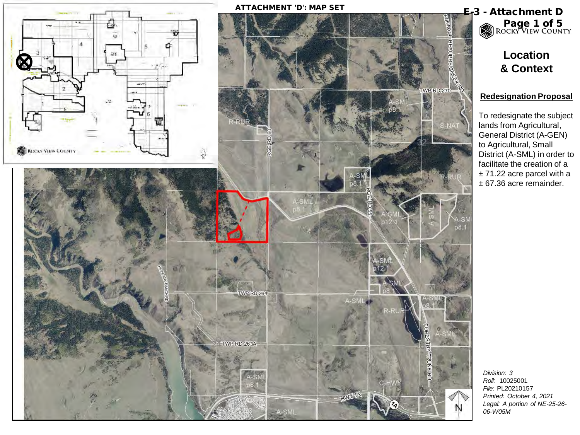

Page 1 of 5<br>ROCKY VIEW COUNTY

**Location & Context**

#### **Redesignation Proposal**

To redesignate the subject lands from Agricultural, General District (A-GEN) to Agricultural, Small District (A-SML) in order to facilitate the creation of a ± 71.22 acre parcel with a ± 67.36 acre remainder.

*Roll:* 10025001 *File:* PL20210157 *Printed: October 4, 2021 Legal: A portion of NE-25-26-*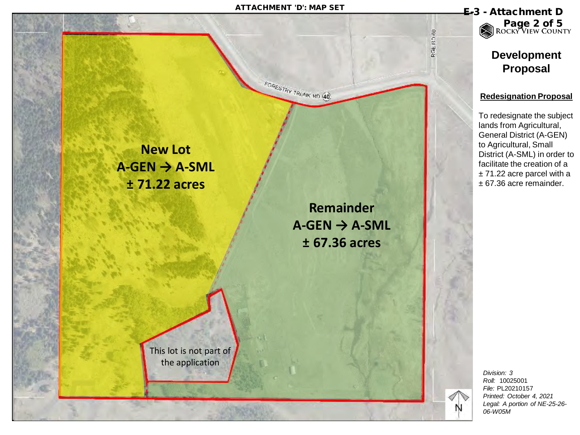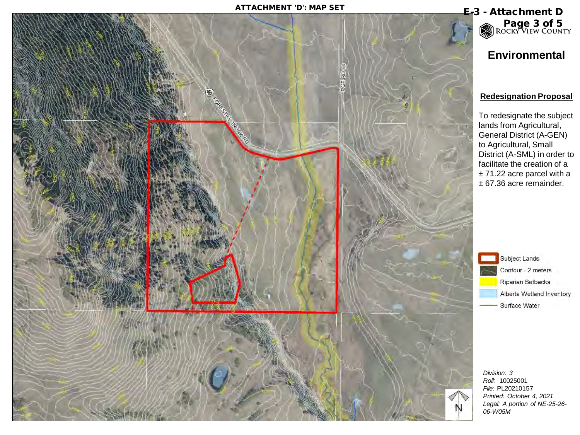## ATTACHMENT 'D': MAP SET **E-3** - Attachment D



# **Environmental** Page 3 of 5<br>ROCKY VIEW COUNTY

#### **Redesignation Proposal**

To redesignate the subject lands from Agricultural, General District (A-GEN) to Agricultural, Small District (A-SML) in order to facilitate the creation of a ± 71.22 acre parcel with a ± 67.36 acre remainder.



*Division: 3 Roll:* 10025001 *File:* PL20210157 *Printed: October 4, 2021 Legal: A portion of NE-25-26- 06-W05M*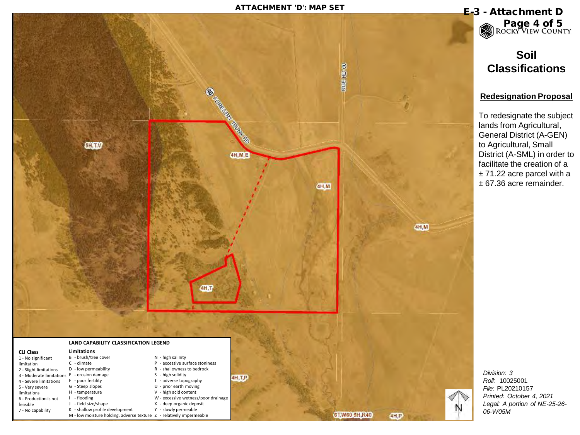### ATTACHMENT 'D': MAP SET **E-3** - Attachment D



Page 4 of 5

# **Soil Classifications**

#### **Redesignation Proposal**

To redesignate the subject lands from Agricultural, General District (A-GEN) to Agricultural, Small District (A-SML) in order to facilitate the creation of a ± 71.22 acre parcel with a ± 67.36 acre remainder.

*Division: 3 Roll:* 10025001 *File:* PL20210157 *Printed: October 4, 2021 Legal: A portion of NE-25-26- 06-W05M*